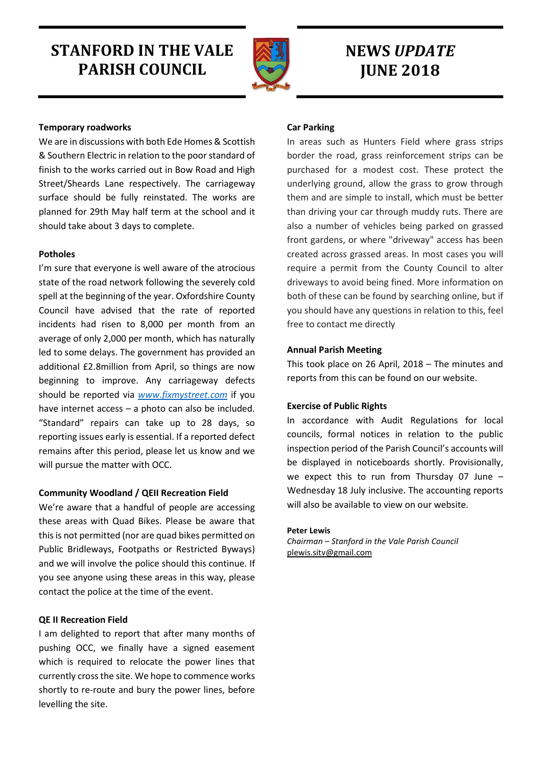# STANFORD IN THE VALE PARISH COUNCIL



# NEWS UPDATE **JUNE 2018**

# Temporary roadworks

We are in discussions with both Ede Homes & Scottish & Southern Electric in relation to the poor standard of finish to the works carried out in Bow Road and High Street/Sheards Lane respectively. The carriageway surface should be fully reinstated. The works are planned for 29th May half term at the school and it should take about 3 days to complete.

# Potholes

I'm sure that everyone is well aware of the atrocious state of the road network following the severely cold spell at the beginning of the year. Oxfordshire County Council have advised that the rate of reported incidents had risen to 8,000 per month from an average of only 2,000 per month, which has naturally led to some delays. The government has provided an additional £2.8million from April, so things are now beginning to improve. Any carriageway defects should be reported via www.fixmystreet.com if you have internet access – a photo can also be included. "Standard" repairs can take up to 28 days, so reporting issues early is essential. If a reported defect remains after this period, please let us know and we will pursue the matter with OCC.

## Community Woodland / QEII Recreation Field

We're aware that a handful of people are accessing these areas with Quad Bikes. Please be aware that this is not permitted (nor are quad bikes permitted on Public Bridleways, Footpaths or Restricted Byways) and we will involve the police should this continue. If you see anyone using these areas in this way, please contact the police at the time of the event.

# QE II Recreation Field

I am delighted to report that after many months of pushing OCC, we finally have a signed easement which is required to relocate the power lines that currently cross the site. We hope to commence works shortly to re-route and bury the power lines, before levelling the site.

# Car Parking

In areas such as Hunters Field where grass strips border the road, grass reinforcement strips can be purchased for a modest cost. These protect the underlying ground, allow the grass to grow through them and are simple to install, which must be better than driving your car through muddy ruts. There are also a number of vehicles being parked on grassed front gardens, or where "driveway" access has been created across grassed areas. In most cases you will require a permit from the County Council to alter driveways to avoid being fined. More information on both of these can be found by searching online, but if you should have any questions in relation to this, feel free to contact me directly

# Annual Parish Meeting

This took place on 26 April, 2018 – The minutes and reports from this can be found on our website.

## Exercise of Public Rights

In accordance with Audit Regulations for local councils, formal notices in relation to the public inspection period of the Parish Council's accounts will be displayed in noticeboards shortly. Provisionally, we expect this to run from Thursday 07 June – Wednesday 18 July inclusive. The accounting reports will also be available to view on our website.

## Peter Lewis

Chairman – Stanford in the Vale Parish Council plewis.sitv@gmail.com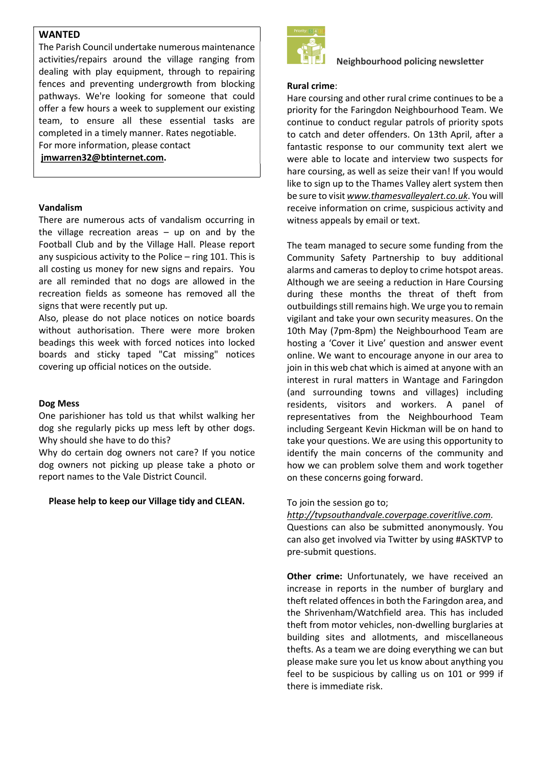# WANTED

The Parish Council undertake numerous maintenance activities/repairs around the village ranging from dealing with play equipment, through to repairing fences and preventing undergrowth from blocking pathways. We're looking for someone that could offer a few hours a week to supplement our existing team, to ensure all these essential tasks are completed in a timely manner. Rates negotiable. For more information, please contact

jmwarren32@btinternet.com.

#### Vandalism

There are numerous acts of vandalism occurring in the village recreation areas  $-$  up on and by the Football Club and by the Village Hall. Please report any suspicious activity to the Police – ring 101. This is all costing us money for new signs and repairs. You are all reminded that no dogs are allowed in the recreation fields as someone has removed all the signs that were recently put up.

Also, please do not place notices on notice boards without authorisation. There were more broken beadings this week with forced notices into locked boards and sticky taped "Cat missing" notices covering up official notices on the outside.

#### Dog Mess

One parishioner has told us that whilst walking her dog she regularly picks up mess left by other dogs. Why should she have to do this?

Why do certain dog owners not care? If you notice dog owners not picking up please take a photo or report names to the Vale District Council.

#### Please help to keep our Village tidy and CLEAN.



## Neighbourhood policing newsletter

## Rural crime:

Hare coursing and other rural crime continues to be a priority for the Faringdon Neighbourhood Team. We continue to conduct regular patrols of priority spots to catch and deter offenders. On 13th April, after a fantastic response to our community text alert we were able to locate and interview two suspects for hare coursing, as well as seize their van! If you would like to sign up to the Thames Valley alert system then be sure to visit www.thamesvalleyalert.co.uk. You will receive information on crime, suspicious activity and witness appeals by email or text.

The team managed to secure some funding from the Community Safety Partnership to buy additional alarms and cameras to deploy to crime hotspot areas. Although we are seeing a reduction in Hare Coursing during these months the threat of theft from outbuildings still remains high. We urge you to remain vigilant and take your own security measures. On the 10th May (7pm-8pm) the Neighbourhood Team are hosting a 'Cover it Live' question and answer event online. We want to encourage anyone in our area to join in this web chat which is aimed at anyone with an interest in rural matters in Wantage and Faringdon (and surrounding towns and villages) including residents, visitors and workers. A panel of representatives from the Neighbourhood Team including Sergeant Kevin Hickman will be on hand to take your questions. We are using this opportunity to identify the main concerns of the community and how we can problem solve them and work together on these concerns going forward.

## To join the session go to;

http://tvpsouthandvale.coverpage.coveritlive.com. Questions can also be submitted anonymously. You can also get involved via Twitter by using #ASKTVP to pre-submit questions.

Other crime: Unfortunately, we have received an increase in reports in the number of burglary and theft related offences in both the Faringdon area, and the Shrivenham/Watchfield area. This has included theft from motor vehicles, non-dwelling burglaries at building sites and allotments, and miscellaneous thefts. As a team we are doing everything we can but please make sure you let us know about anything you feel to be suspicious by calling us on 101 or 999 if there is immediate risk.